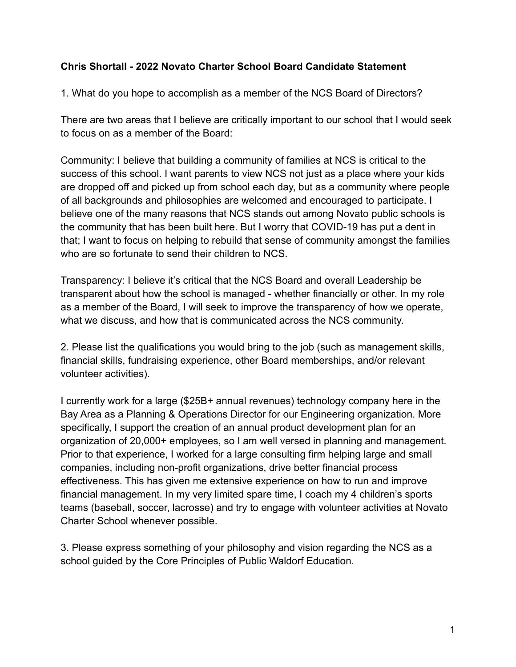## **Chris Shortall - 2022 Novato Charter School Board Candidate Statement**

1. What do you hope to accomplish as a member of the NCS Board of Directors?

There are two areas that I believe are critically important to our school that I would seek to focus on as a member of the Board:

Community: I believe that building a community of families at NCS is critical to the success of this school. I want parents to view NCS not just as a place where your kids are dropped off and picked up from school each day, but as a community where people of all backgrounds and philosophies are welcomed and encouraged to participate. I believe one of the many reasons that NCS stands out among Novato public schools is the community that has been built here. But I worry that COVID-19 has put a dent in that; I want to focus on helping to rebuild that sense of community amongst the families who are so fortunate to send their children to NCS.

Transparency: I believe it's critical that the NCS Board and overall Leadership be transparent about how the school is managed - whether financially or other. In my role as a member of the Board, I will seek to improve the transparency of how we operate, what we discuss, and how that is communicated across the NCS community.

2. Please list the qualifications you would bring to the job (such as management skills, financial skills, fundraising experience, other Board memberships, and/or relevant volunteer activities).

I currently work for a large (\$25B+ annual revenues) technology company here in the Bay Area as a Planning & Operations Director for our Engineering organization. More specifically, I support the creation of an annual product development plan for an organization of 20,000+ employees, so I am well versed in planning and management. Prior to that experience, I worked for a large consulting firm helping large and small companies, including non-profit organizations, drive better financial process effectiveness. This has given me extensive experience on how to run and improve financial management. In my very limited spare time, I coach my 4 children's sports teams (baseball, soccer, lacrosse) and try to engage with volunteer activities at Novato Charter School whenever possible.

3. Please express something of your philosophy and vision regarding the NCS as a school guided by the Core Principles of Public Waldorf Education.